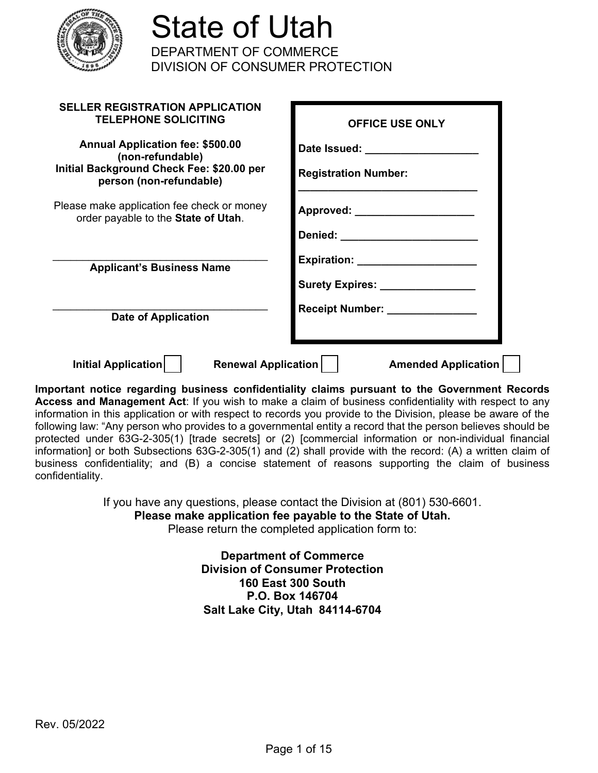

| <b>SELLER REGISTRATION APPLICATION</b><br><b>TELEPHONE SOLICITING</b>                                                                 | <b>OFFICE USE ONLY</b>                                |
|---------------------------------------------------------------------------------------------------------------------------------------|-------------------------------------------------------|
| <b>Annual Application fee: \$500.00</b><br>(non-refundable)                                                                           | Date Issued: Date Issued:                             |
| Initial Background Check Fee: \$20.00 per<br>person (non-refundable)                                                                  | <b>Registration Number:</b>                           |
| Please make application fee check or money<br>order payable to the State of Utah.                                                     | Approved: ________                                    |
|                                                                                                                                       | Denied: ______                                        |
| <b>Applicant's Business Name</b>                                                                                                      | <b>Expiration:</b>                                    |
|                                                                                                                                       | Surety Expires: Management Control of Surety Expires: |
| <b>Date of Application</b>                                                                                                            | Receipt Number: _______________                       |
| Renewal Application    <br>Initial Application<br>sartant nation regentive business confidentiality oleima nurauont to the Covernment | <b>Amended Application</b>                            |

**Important notice regarding business confidentiality claims pursuant to the Government Records Access and Management Act**: If you wish to make a claim of business confidentiality with respect to any information in this application or with respect to records you provide to the Division, please be aware of the following law: "Any person who provides to a governmental entity a record that the person believes should be protected under 63G-2-305(1) [trade secrets] or (2) [commercial information or non-individual financial information] or both Subsections 63G-2-305(1) and (2) shall provide with the record: (A) a written claim of business confidentiality; and (B) a concise statement of reasons supporting the claim of business confidentiality.

> If you have any questions, please contact the Division at (801) 530-6601. **Please make application fee payable to the State of Utah.**

Please return the completed application form to:

**Department of Commerce Division of Consumer Protection 160 East 300 South P.O. Box 146704 Salt Lake City, Utah 84114-6704**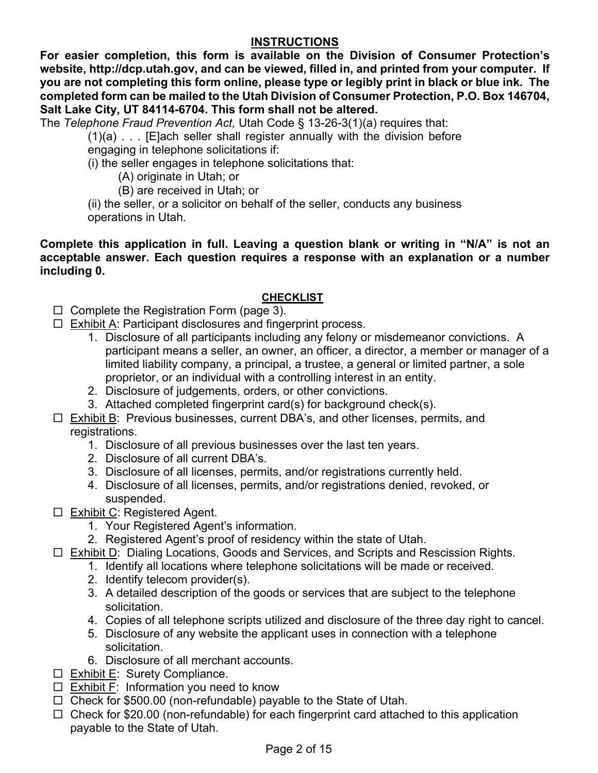## **INSTRUCTIONS**

**For easier completion, this form is available on the Division of Consumer Protection's website, http://dcp.utah.gov, and can be viewed, filled in, and printed from your computer. If you are not completing this form online, please type or legibly print in black or blue ink. The completed form can be mailed to the Utah Division of Consumer Protection, P.O. Box 146704, Salt Lake City, UT 84114-6704. This form shall not be altered.**

The *Telephone Fraud Prevention Act,* Utah Code § 13-26-3(1)(a) requires that:

(1)(a) . . . [E]ach seller shall register annually with the division before engaging in telephone solicitations if:

(i) the seller engages in telephone solicitations that:

- (A) originate in Utah; or
- (B) are received in Utah; or

(ii) the seller, or a solicitor on behalf of the seller, conducts any business operations in Utah.

**Complete this application in full. Leaving a question blank or writing in "N/A" is not an acceptable answer. Each question requires a response with an explanation or a number including 0.** 

## **CHECKLIST**

- $\Box$  Complete the Registration Form (page 3).
- $\Box$  Exhibit A: Participant disclosures and fingerprint process.
	- 1. Disclosure of all participants including any felony or misdemeanor convictions. A participant means a seller, an owner, an officer, a director, a member or manager of a limited liability company, a principal, a trustee, a general or limited partner, a sole proprietor, or an individual with a controlling interest in an entity.
	- 2. Disclosure of judgements, orders, or other convictions.
	- 3. Attached completed fingerprint card(s) for background check(s).
- $\Box$  Exhibit B: Previous businesses, current DBA's, and other licenses, permits, and registrations.
	- 1. Disclosure of all previous businesses over the last ten years.
	- 2. Disclosure of all current DBA's.
	- 3. Disclosure of all licenses, permits, and/or registrations currently held.
	- 4. Disclosure of all licenses, permits, and/or registrations denied, revoked, or suspended.
- □ Exhibit C: Registered Agent.
	- 1. Your Registered Agent's information.
	- 2. Registered Agent's proof of residency within the state of Utah.
- Exhibit D: Dialing Locations, Goods and Services, and Scripts and Rescission Rights.
	- 1. Identify all locations where telephone solicitations will be made or received.
	- 2. Identify telecom provider(s).
	- 3. A detailed description of the goods or services that are subject to the telephone solicitation.
	- 4. Copies of all telephone scripts utilized and disclosure of the three day right to cancel.
	- 5. Disclosure of any website the applicant uses in connection with a telephone solicitation.
	- 6. Disclosure of all merchant accounts.
- $\square$  Exhibit E: Surety Compliance.
- $\square$  Exhibit F: Information you need to know
- $\Box$  Check for \$500.00 (non-refundable) payable to the State of Utah.
- $\Box$  Check for \$20.00 (non-refundable) for each fingerprint card attached to this application payable to the State of Utah.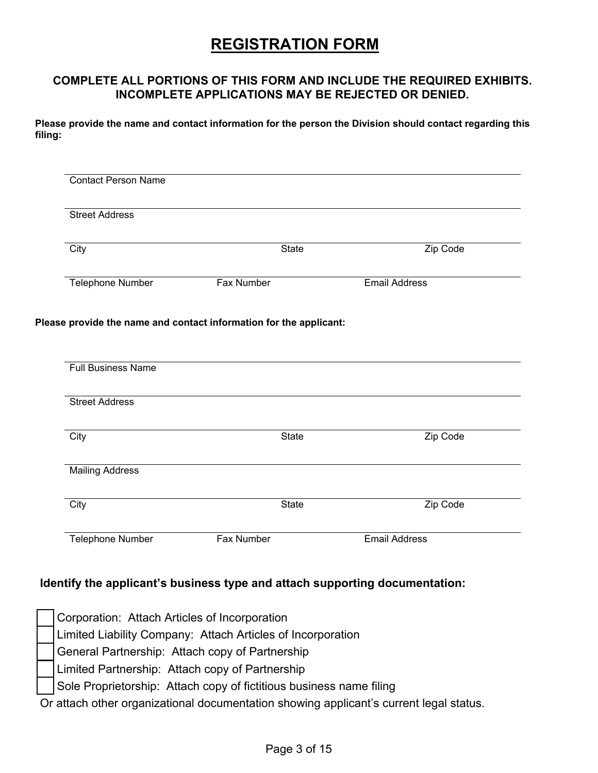# **REGISTRATION FORM**

#### **COMPLETE ALL PORTIONS OF THIS FORM AND INCLUDE THE REQUIRED EXHIBITS. INCOMPLETE APPLICATIONS MAY BE REJECTED OR DENIED.**

**Please provide the name and contact information for the person the Division should contact regarding this filing:**

| <b>Street Address</b>          |                                                                    |                      |
|--------------------------------|--------------------------------------------------------------------|----------------------|
| City                           | <b>State</b>                                                       | Zip Code             |
| <b>Telephone Number</b>        | <b>Fax Number</b>                                                  | <b>Email Address</b> |
|                                | Please provide the name and contact information for the applicant: |                      |
|                                |                                                                    |                      |
| <b>Full Business Name</b>      |                                                                    |                      |
|                                |                                                                    |                      |
| <b>Street Address</b>          |                                                                    |                      |
|                                | <b>State</b>                                                       | Zip Code             |
| City<br><b>Mailing Address</b> |                                                                    |                      |
| City                           | <b>State</b>                                                       | Zip Code             |

#### **Identify the applicant's business type and attach supporting documentation:**

| Corporation: Attach Articles of Incorporation                                          |
|----------------------------------------------------------------------------------------|
| Limited Liability Company: Attach Articles of Incorporation                            |
| General Partnership: Attach copy of Partnership                                        |
| Limited Partnership: Attach copy of Partnership                                        |
| Sole Proprietorship: Attach copy of fictitious business name filing                    |
| Or attach other organizational documentation showing applicant's current legal status. |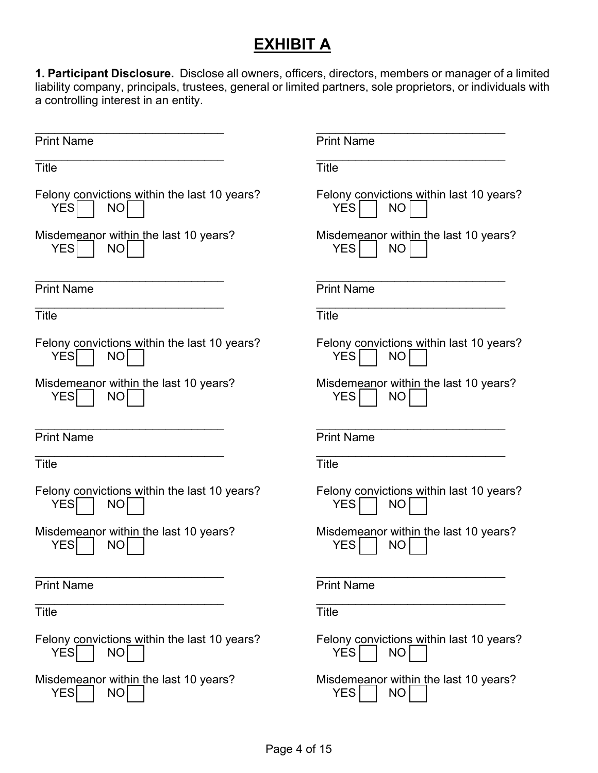# **EXHIBIT A**

**1. Participant Disclosure.** Disclose all owners, officers, directors, members or manager of a limited liability company, principals, trustees, general or limited partners, sole proprietors, or individuals with a controlling interest in an entity.

| <b>Print Name</b>                                                        | <b>Print Name</b>                                                   |
|--------------------------------------------------------------------------|---------------------------------------------------------------------|
| <b>Title</b>                                                             | <b>Title</b>                                                        |
| Felony convictions within the last 10 years?<br><b>YES</b><br><b>NO</b>  | Felony convictions within last 10 years?<br><b>YES</b><br><b>NO</b> |
| Misdemeanor within the last 10 years?<br><b>YES</b><br>NO                | Misdemeanor within the last 10 years?<br><b>YES</b><br><b>NO</b>    |
| <b>Print Name</b>                                                        | <b>Print Name</b>                                                   |
| <b>Title</b>                                                             | <b>Title</b>                                                        |
| Felony convictions within the last 10 years?<br><b>YESI</b><br><b>NO</b> | Felony convictions within last 10 years?<br><b>YES</b><br><b>NO</b> |
| Misdemeanor within the last 10 years?<br><b>YES</b><br><b>NO</b>         | Misdemeanor within the last 10 years?<br><b>YES</b><br><b>NO</b>    |
|                                                                          |                                                                     |
| <b>Print Name</b>                                                        | <b>Print Name</b>                                                   |
| <b>Title</b>                                                             | <b>Title</b>                                                        |
| Felony convictions within the last 10 years?<br><b>YES</b><br><b>NO</b>  | Felony convictions within last 10 years?<br><b>YES</b><br><b>NO</b> |
| Misdemeanor within the last 10 years?<br><b>YES</b><br><b>NO</b>         | Misdemeanor within the last 10 years?<br><b>YES</b><br><b>NO</b>    |
| <b>Print Name</b>                                                        | <b>Print Name</b>                                                   |
| <b>Title</b>                                                             | <b>Title</b>                                                        |
| Felony convictions within the last 10 years?<br><b>YES</b><br><b>NO</b>  | Felony convictions within last 10 years?<br><b>YES</b><br><b>NO</b> |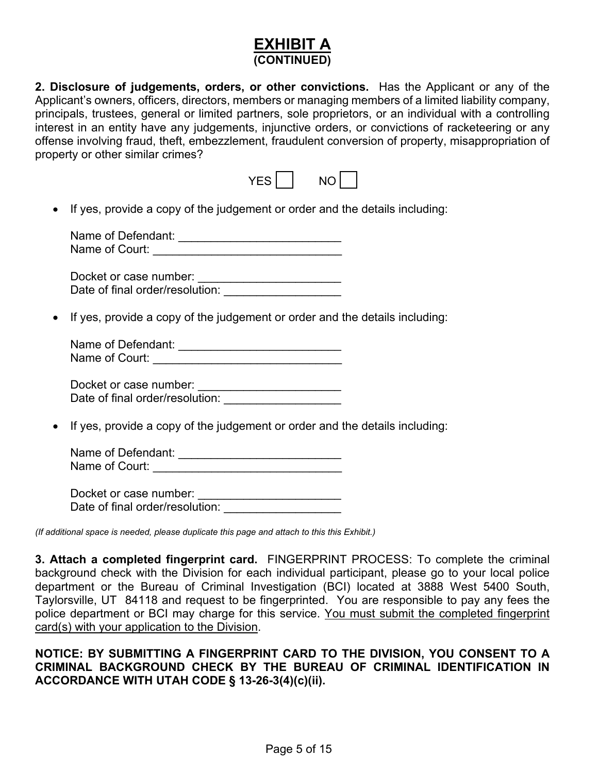## **EXHIBIT A (CONTINUED)**

**2. Disclosure of judgements, orders, or other convictions.** Has the Applicant or any of the Applicant's owners, officers, directors, members or managing members of a limited liability company, principals, trustees, general or limited partners, sole proprietors, or an individual with a controlling interest in an entity have any judgements, injunctive orders, or convictions of racketeering or any offense involving fraud, theft, embezzlement, fraudulent conversion of property, misappropriation of property or other similar crimes?

|  | -<br>-<br>- |  |
|--|-------------|--|
|  |             |  |

• If yes, provide a copy of the judgement or order and the details including:

| Name of Defendant: |  |
|--------------------|--|
| Name of Court:     |  |

Docket or case number: \_\_\_\_\_\_\_\_\_\_\_\_\_\_\_\_\_\_\_\_\_\_ Date of final order/resolution: \_\_\_\_\_\_\_\_\_\_\_\_\_\_\_\_\_\_\_\_

• If yes, provide a copy of the judgement or order and the details including:

Name of Defendant: \_\_\_\_\_\_\_\_\_\_\_\_\_\_\_\_\_\_\_\_\_\_\_\_\_ Name of Court:

Docket or case number: \_\_\_\_\_\_\_\_\_\_\_\_\_\_\_\_\_\_\_\_\_\_ Date of final order/resolution:

• If yes, provide a copy of the judgement or order and the details including:

Name of Defendant: \_\_\_\_\_\_\_\_\_\_\_\_\_\_\_\_\_\_\_\_\_\_\_\_\_ Name of Court: \_\_\_\_\_\_\_\_\_\_\_\_\_\_\_\_\_\_\_\_\_\_\_\_\_\_\_\_\_

Docket or case number: \_\_\_\_\_\_\_\_\_\_\_\_\_\_\_\_\_\_\_\_\_\_ Date of final order/resolution: \_\_\_\_\_\_\_\_\_\_\_\_\_\_\_\_\_\_\_\_

*(If additional space is needed, please duplicate this page and attach to this this Exhibit.)*

**3. Attach a completed fingerprint card.** FINGERPRINT PROCESS: To complete the criminal background check with the Division for each individual participant, please go to your local police department or the Bureau of Criminal Investigation (BCI) located at 3888 West 5400 South, Taylorsville, UT 84118 and request to be fingerprinted. You are responsible to pay any fees the police department or BCI may charge for this service. You must submit the completed fingerprint card(s) with your application to the Division.

#### **NOTICE: BY SUBMITTING A FINGERPRINT CARD TO THE DIVISION, YOU CONSENT TO A CRIMINAL BACKGROUND CHECK BY THE BUREAU OF CRIMINAL IDENTIFICATION IN ACCORDANCE WITH UTAH CODE § 13-26-3(4)(c)(ii).**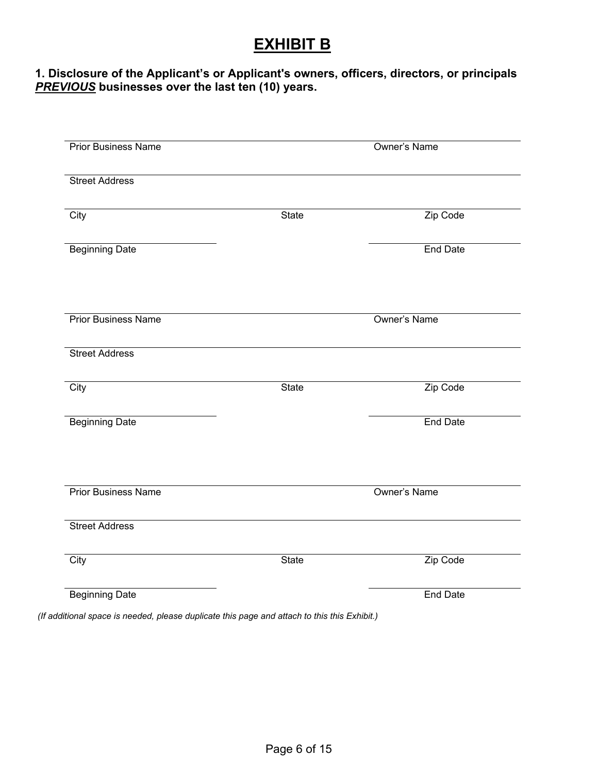# **EXHIBIT B**

#### **1. Disclosure of the Applicant's or Applicant's owners, officers, directors, or principals** *PREVIOUS* **businesses over the last ten (10) years.**

| <b>Prior Business Name</b> |              | <b>Owner's Name</b> |
|----------------------------|--------------|---------------------|
| <b>Street Address</b>      |              |                     |
| City                       | <b>State</b> | Zip Code            |
| <b>Beginning Date</b>      |              | <b>End Date</b>     |
| <b>Prior Business Name</b> |              | <b>Owner's Name</b> |
| <b>Street Address</b>      |              |                     |
| City                       | State        | Zip Code            |
| <b>Beginning Date</b>      |              | <b>End Date</b>     |
| <b>Prior Business Name</b> |              | <b>Owner's Name</b> |
| <b>Street Address</b>      |              |                     |
| City                       | <b>State</b> | Zip Code            |
| <b>Beginning Date</b>      |              | <b>End Date</b>     |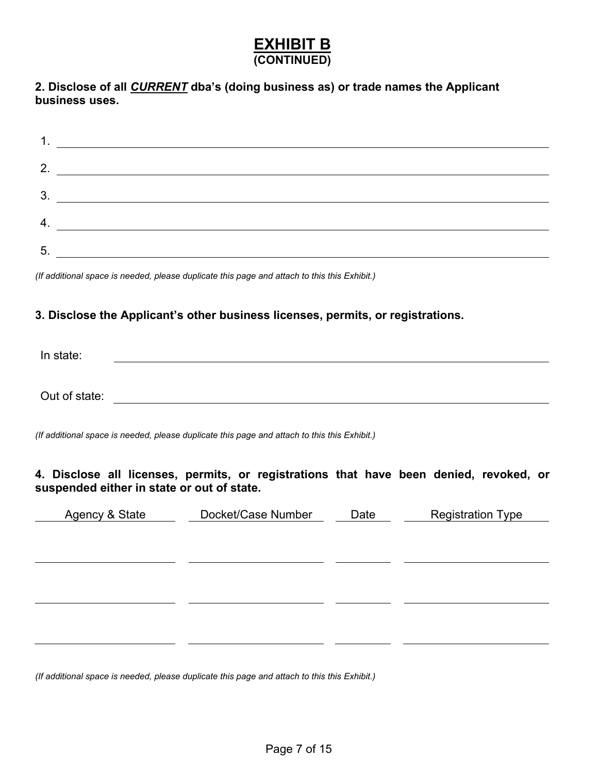# **EXHIBIT B (CONTINUED)**

**2. Disclose of all** *CURRENT* **dba's (doing business as) or trade names the Applicant business uses.**

|    | <u> 1980 - Jan Samuel Barbara, martin da shekara 1980 - An tsara 1980 - An tsara 1980 - An tsara 1980 - An tsara</u> |
|----|----------------------------------------------------------------------------------------------------------------------|
| 2. |                                                                                                                      |
| 3. |                                                                                                                      |
|    |                                                                                                                      |
| 5. |                                                                                                                      |

*(If additional space is needed, please duplicate this page and attach to this this Exhibit.)* 

#### **3. Disclose the Applicant's other business licenses, permits, or registrations.**

| In state:     |  |  |
|---------------|--|--|
|               |  |  |
|               |  |  |
| Out of state: |  |  |

*(If additional space is needed, please duplicate this page and attach to this this Exhibit.)*

**4. Disclose all licenses, permits, or registrations that have been denied, revoked, or suspended either in state or out of state.**

| Agency & State | Docket/Case Number | Date | <b>Registration Type</b> |
|----------------|--------------------|------|--------------------------|
|                |                    |      |                          |
|                |                    |      |                          |
|                |                    |      |                          |
|                |                    |      |                          |
|                |                    |      |                          |
|                |                    |      |                          |
|                |                    |      |                          |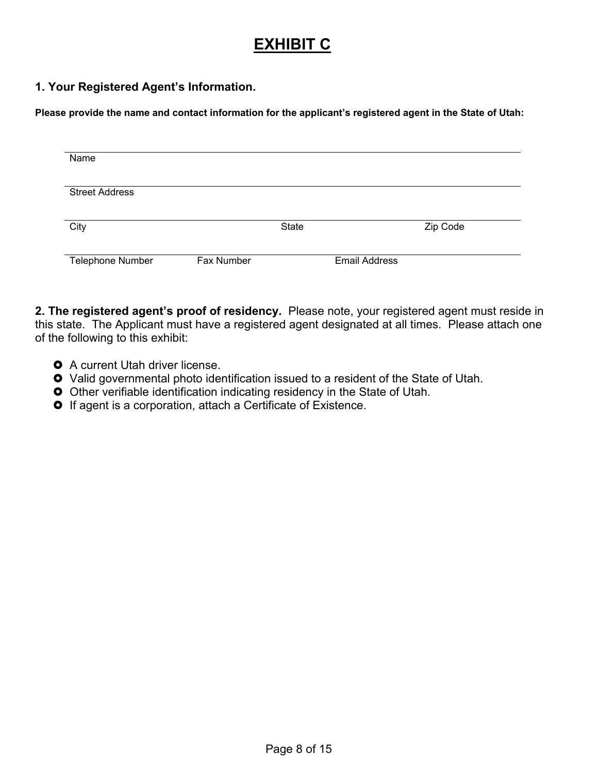# **EXHIBIT C**

#### **1. Your Registered Agent's Information.**

**Please provide the name and contact information for the applicant's registered agent in the State of Utah:**

| Name                    |            |              |                      |          |
|-------------------------|------------|--------------|----------------------|----------|
|                         |            |              |                      |          |
|                         |            |              |                      |          |
| <b>Street Address</b>   |            |              |                      |          |
|                         |            |              |                      |          |
|                         |            |              |                      |          |
| City                    |            | <b>State</b> |                      | Zip Code |
|                         |            |              |                      |          |
|                         |            |              |                      |          |
| <b>Telephone Number</b> | Fax Number |              | <b>Email Address</b> |          |
|                         |            |              |                      |          |

**2. The registered agent's proof of residency.** Please note, your registered agent must reside in this state. The Applicant must have a registered agent designated at all times. Please attach one of the following to this exhibit:

- **O** A current Utah driver license.
- Valid governmental photo identification issued to a resident of the State of Utah.
- Other verifiable identification indicating residency in the State of Utah.
- **O** If agent is a corporation, attach a Certificate of Existence.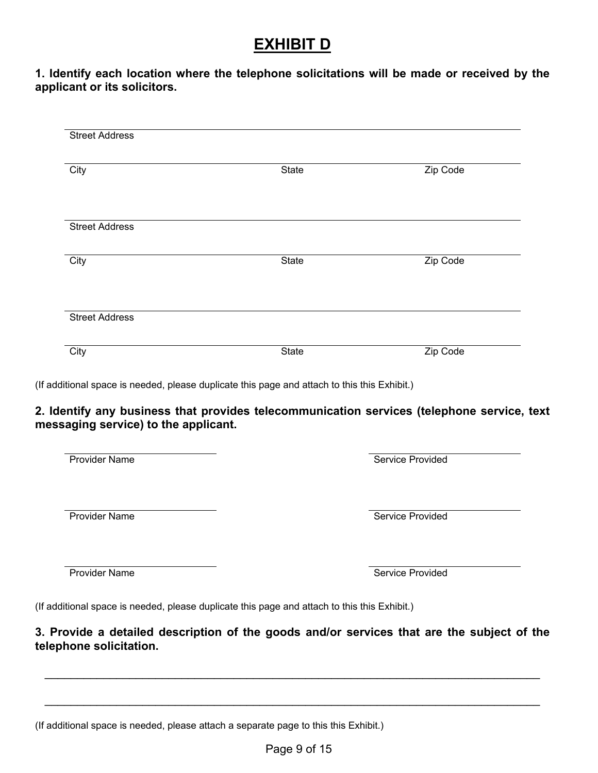# **EXHIBIT D**

### **1. Identify each location where the telephone solicitations will be made or received by the applicant or its solicitors.**

| City                                                                                  | <b>State</b>                                                                                                                                                                                        | Zip Code                |
|---------------------------------------------------------------------------------------|-----------------------------------------------------------------------------------------------------------------------------------------------------------------------------------------------------|-------------------------|
| <b>Street Address</b>                                                                 |                                                                                                                                                                                                     |                         |
| City                                                                                  | <b>State</b>                                                                                                                                                                                        | Zip Code                |
| <b>Street Address</b>                                                                 |                                                                                                                                                                                                     |                         |
|                                                                                       |                                                                                                                                                                                                     |                         |
|                                                                                       | State<br>(If additional space is needed, please duplicate this page and attach to this this Exhibit.)<br>2. Identify any business that provides telecommunication services (telephone service, text | Zip Code                |
|                                                                                       |                                                                                                                                                                                                     | Service Provided        |
| City<br>messaging service) to the applicant.<br>Provider Name<br><b>Provider Name</b> |                                                                                                                                                                                                     | <b>Service Provided</b> |
| <b>Provider Name</b>                                                                  |                                                                                                                                                                                                     | Service Provided        |

(If additional space is needed, please attach a separate page to this this Exhibit.)

\_\_\_\_\_\_\_\_\_\_\_\_\_\_\_\_\_\_\_\_\_\_\_\_\_\_\_\_\_\_\_\_\_\_\_\_\_\_\_\_\_\_\_\_\_\_\_\_\_\_\_\_\_\_\_\_\_\_\_\_\_\_\_\_\_\_\_\_\_\_\_\_\_\_\_\_

\_\_\_\_\_\_\_\_\_\_\_\_\_\_\_\_\_\_\_\_\_\_\_\_\_\_\_\_\_\_\_\_\_\_\_\_\_\_\_\_\_\_\_\_\_\_\_\_\_\_\_\_\_\_\_\_\_\_\_\_\_\_\_\_\_\_\_\_\_\_\_\_\_\_\_\_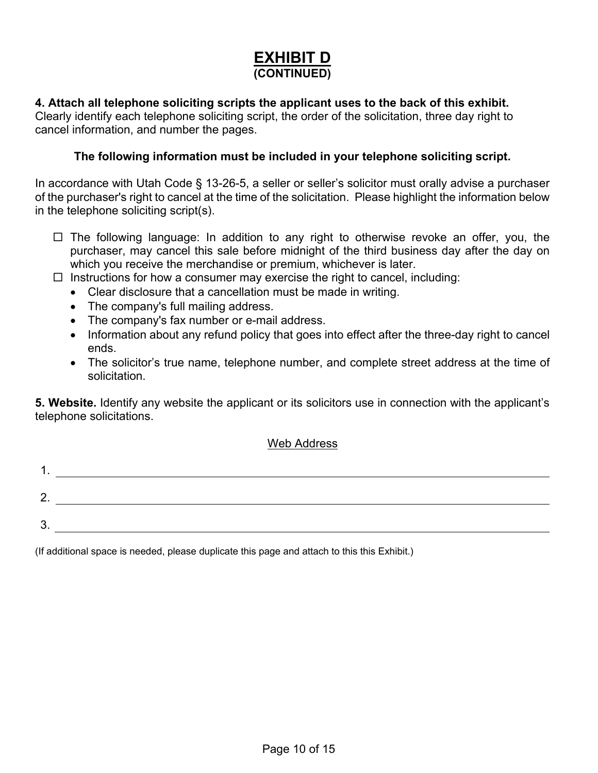# **EXHIBIT D (CONTINUED)**

#### **4. Attach all telephone soliciting scripts the applicant uses to the back of this exhibit.**

Clearly identify each telephone soliciting script, the order of the solicitation, three day right to cancel information, and number the pages.

#### **The following information must be included in your telephone soliciting script.**

In accordance with Utah Code § 13-26-5, a seller or seller's solicitor must orally advise a purchaser of the purchaser's right to cancel at the time of the solicitation. Please highlight the information below in the telephone soliciting script(s).

- $\Box$  The following language: In addition to any right to otherwise revoke an offer, you, the purchaser, may cancel this sale before midnight of the third business day after the day on which you receive the merchandise or premium, whichever is later.
- $\Box$  Instructions for how a consumer may exercise the right to cancel, including:
	- Clear disclosure that a cancellation must be made in writing.
	- The company's full mailing address.
	- The company's fax number or e-mail address.
	- Information about any refund policy that goes into effect after the three-day right to cancel ends.
	- The solicitor's true name, telephone number, and complete street address at the time of solicitation.

**5. Website.** Identify any website the applicant or its solicitors use in connection with the applicant's telephone solicitations.

#### Web Address

| n<br><u>.</u> |  |
|---------------|--|
| ≏<br>ື        |  |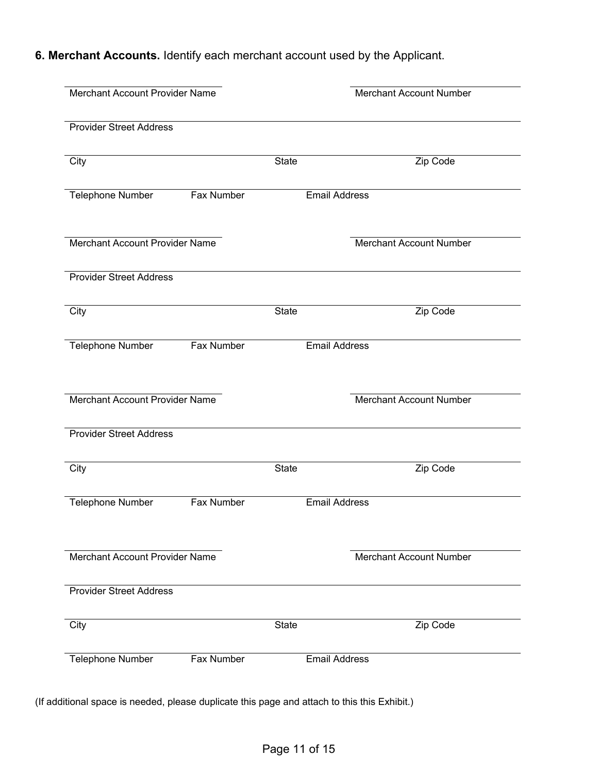**6. Merchant Accounts.** Identify each merchant account used by the Applicant.

| Merchant Account Provider Name        |                   | <b>Merchant Account Number</b> |                                |
|---------------------------------------|-------------------|--------------------------------|--------------------------------|
| <b>Provider Street Address</b>        |                   |                                |                                |
| City                                  |                   | <b>State</b>                   | Zip Code                       |
| Telephone Number<br><b>Fax Number</b> |                   |                                | <b>Email Address</b>           |
| Merchant Account Provider Name        |                   |                                | Merchant Account Number        |
| <b>Provider Street Address</b>        |                   |                                |                                |
| City                                  |                   | <b>State</b>                   | Zip Code                       |
| Telephone Number                      | <b>Fax Number</b> |                                | <b>Email Address</b>           |
| Merchant Account Provider Name        |                   |                                | <b>Merchant Account Number</b> |
| <b>Provider Street Address</b>        |                   |                                |                                |
| City                                  |                   | <b>State</b>                   | Zip Code                       |
| <b>Telephone Number</b>               | Fax Number        |                                | <b>Email Address</b>           |
| Merchant Account Provider Name        |                   |                                | <b>Merchant Account Number</b> |
| <b>Provider Street Address</b>        |                   |                                |                                |
| City                                  |                   | <b>State</b>                   | Zip Code                       |
| <b>Telephone Number</b>               | Fax Number        |                                | <b>Email Address</b>           |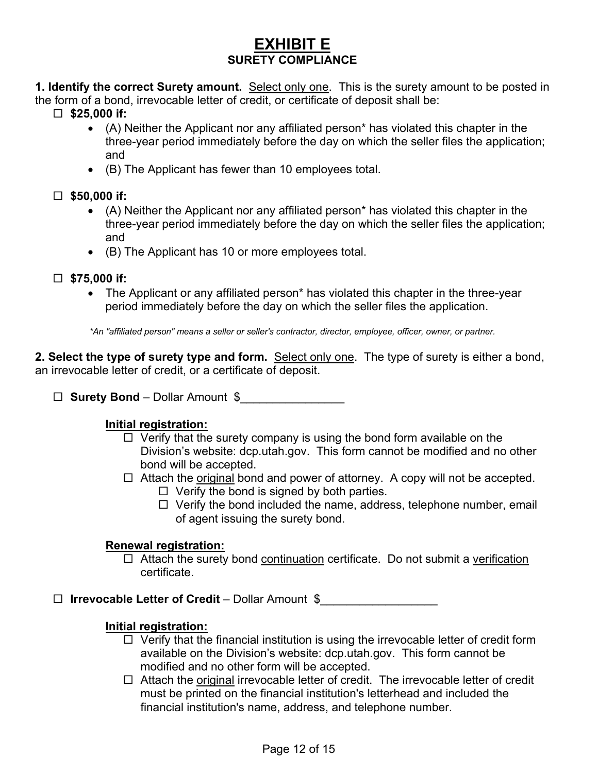# **EXHIBIT E SURETY COMPLIANCE**

**1. Identify the correct Surety amount.** Select only one. This is the surety amount to be posted in the form of a bond, irrevocable letter of credit, or certificate of deposit shall be:

- **\$25,000 if:**
	- (A) Neither the Applicant nor any affiliated person\* has violated this chapter in the three-year period immediately before the day on which the seller files the application; and
	- (B) The Applicant has fewer than 10 employees total.

## **\$50,000 if:**

- (A) Neither the Applicant nor any affiliated person\* has violated this chapter in the three-year period immediately before the day on which the seller files the application; and
- (B) The Applicant has 10 or more employees total.

## **\$75,000 if:**

• The Applicant or any affiliated person<sup>\*</sup> has violated this chapter in the three-year period immediately before the day on which the seller files the application.

*\*An "affiliated person" means a seller or seller's contractor, director, employee, officer, owner, or partner.*

**2. Select the type of surety type and form.** Select only one. The type of surety is either a bond, an irrevocable letter of credit, or a certificate of deposit.

□ **Surety Bond** – Dollar Amount \$

## **Initial registration:**

- $\Box$  Verify that the surety company is using the bond form available on the Division's website: dcp.utah.gov. This form cannot be modified and no other bond will be accepted.
- $\Box$  Attach the original bond and power of attorney. A copy will not be accepted.  $\Box$  Verify the bond is signed by both parties.
	- $\Box$  Verify the bond included the name, address, telephone number, email of agent issuing the surety bond.

## **Renewal registration:**

 $\Box$  Attach the surety bond continuation certificate. Do not submit a verification certificate.

**Irrevocable Letter of Credit** – Dollar Amount \$\_\_\_\_\_\_\_\_\_\_\_\_\_\_\_\_\_\_

## **Initial registration:**

- $\Box$  Verify that the financial institution is using the irrevocable letter of credit form available on the Division's website: dcp.utah.gov. This form cannot be modified and no other form will be accepted.
- $\Box$  Attach the original irrevocable letter of credit. The irrevocable letter of credit must be printed on the financial institution's letterhead and included the financial institution's name, address, and telephone number.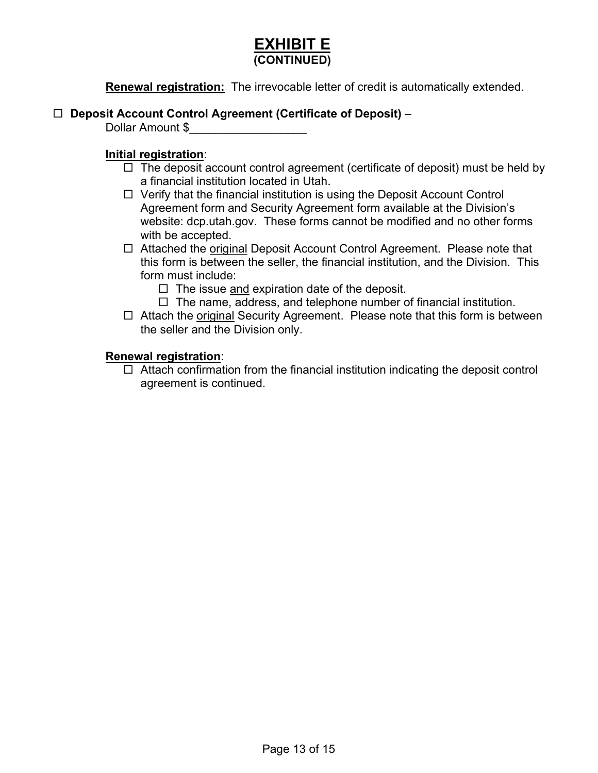# **EXHIBIT E (CONTINUED)**

**Renewal registration:** The irrevocable letter of credit is automatically extended.

#### **Deposit Account Control Agreement (Certificate of Deposit)** –

Dollar Amount \$

#### **Initial registration**:

- $\Box$  The deposit account control agreement (certificate of deposit) must be held by a financial institution located in Utah.
- $\Box$  Verify that the financial institution is using the Deposit Account Control Agreement form and Security Agreement form available at the Division's website: dcp.utah.gov. These forms cannot be modified and no other forms with be accepted.
- □ Attached the original Deposit Account Control Agreement. Please note that this form is between the seller, the financial institution, and the Division. This form must include:
	- $\Box$  The issue and expiration date of the deposit.
	- $\Box$  The name, address, and telephone number of financial institution.
- $\Box$  Attach the original Security Agreement. Please note that this form is between the seller and the Division only.

#### **Renewal registration**:

 $\Box$  Attach confirmation from the financial institution indicating the deposit control agreement is continued.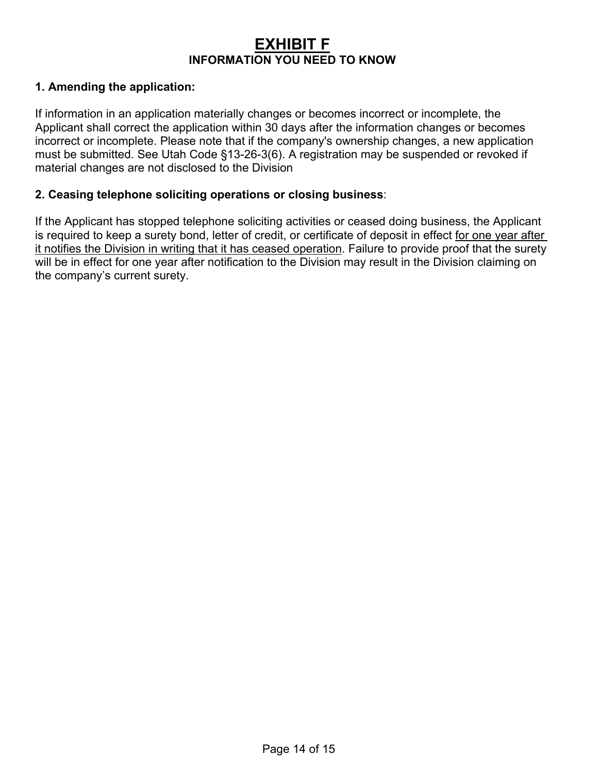# **EXHIBIT F INFORMATION YOU NEED TO KNOW**

### **1. Amending the application:**

If information in an application materially changes or becomes incorrect or incomplete, the Applicant shall correct the application within 30 days after the information changes or becomes incorrect or incomplete. Please note that if the company's ownership changes, a new application must be submitted. See Utah Code §13-26-3(6). A registration may be suspended or revoked if material changes are not disclosed to the Division

#### **2. Ceasing telephone soliciting operations or closing business**:

If the Applicant has stopped telephone soliciting activities or ceased doing business, the Applicant is required to keep a surety bond, letter of credit, or certificate of deposit in effect for one year after it notifies the Division in writing that it has ceased operation. Failure to provide proof that the surety will be in effect for one year after notification to the Division may result in the Division claiming on the company's current surety.